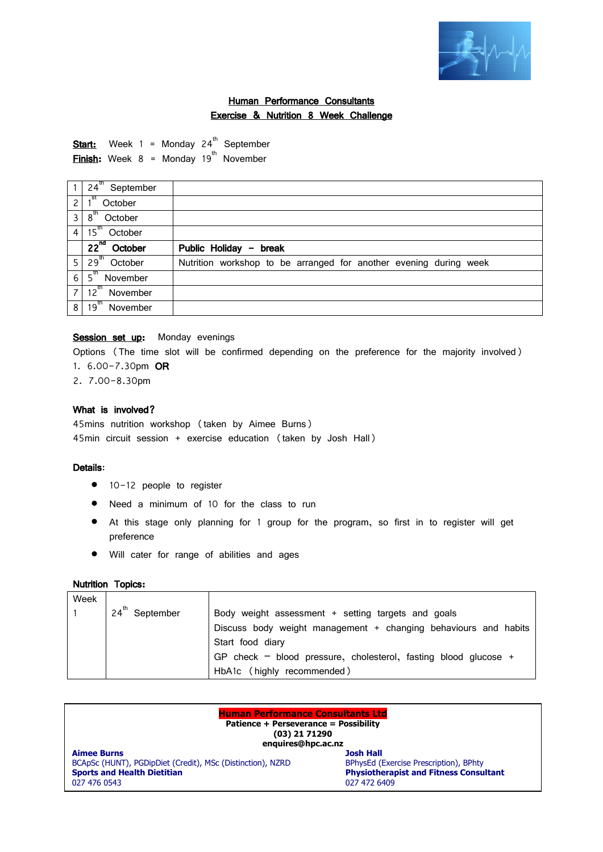

# Human Performance Consultants Exercise & Nutrition 8 Week Challenge

**Start:** Week 1 = Monday 24<sup>th</sup> September **Finish:** Week  $8 =$  Monday 19<sup>th</sup> November

|                | $24^{\text{th}}$<br>September |                                                                   |
|----------------|-------------------------------|-------------------------------------------------------------------|
| $\overline{c}$ | .st<br>October                |                                                                   |
| 3              | $8^{\text{th}}$<br>October    |                                                                   |
| $\overline{4}$ | $15^{\circ}$<br>October       |                                                                   |
|                | $22nd$ October                | Public Holiday - break                                            |
| 5              | $29^{th}$<br>October          | Nutrition workshop to be arranged for another evening during week |
| 6              | $5^{\text{th}}$<br>November   |                                                                   |
| $\overline{z}$ | $12^{\text{th}}$<br>November  |                                                                   |
| 8              | $19^{th}$<br>November         |                                                                   |

## Session set up: Monday evenings

Options (The time slot will be confirmed depending on the preference for the majority involved) 1. 6.00-7.30pm OR

2. 7.00-8.30pm

# What is involved?

45mins nutrition workshop (taken by Aimee Burns) 45min circuit session + exercise education (taken by Josh Hall)

## Details:

- 10-12 people to register
- Need a minimum of 10 for the class to run
- At this stage only planning for 1 group for the program, so first in to register will get preference
- Will cater for range of abilities and ages

#### Nutrition Topics:

| Week |                        |                                                                     |
|------|------------------------|---------------------------------------------------------------------|
|      | $24^{th}$<br>September | Body weight assessment + setting targets and goals                  |
|      |                        | Discuss body weight management + changing behaviours and habits     |
|      |                        | Start food diary                                                    |
|      |                        | GP check $-$ blood pressure, cholesterol, fasting blood glucose $+$ |
|      |                        | HbA1c (highly recommended)                                          |

| <b>Human Performance Consultants Ltd</b><br>Patience + Perseverance = Possibility<br>$(03)$ 21 71290<br>enquires@hpc.ac.nz |                                               |  |  |  |  |
|----------------------------------------------------------------------------------------------------------------------------|-----------------------------------------------|--|--|--|--|
| <b>Aimee Burns</b>                                                                                                         | <b>Josh Hall</b>                              |  |  |  |  |
| BCApSc (HUNT), PGDipDiet (Credit), MSc (Distinction), NZRD                                                                 | BPhysEd (Exercise Prescription), BPhty        |  |  |  |  |
| <b>Sports and Health Dietitian</b>                                                                                         | <b>Physiotherapist and Fitness Consultant</b> |  |  |  |  |
| 027 476 0543                                                                                                               | 027 472 6409                                  |  |  |  |  |